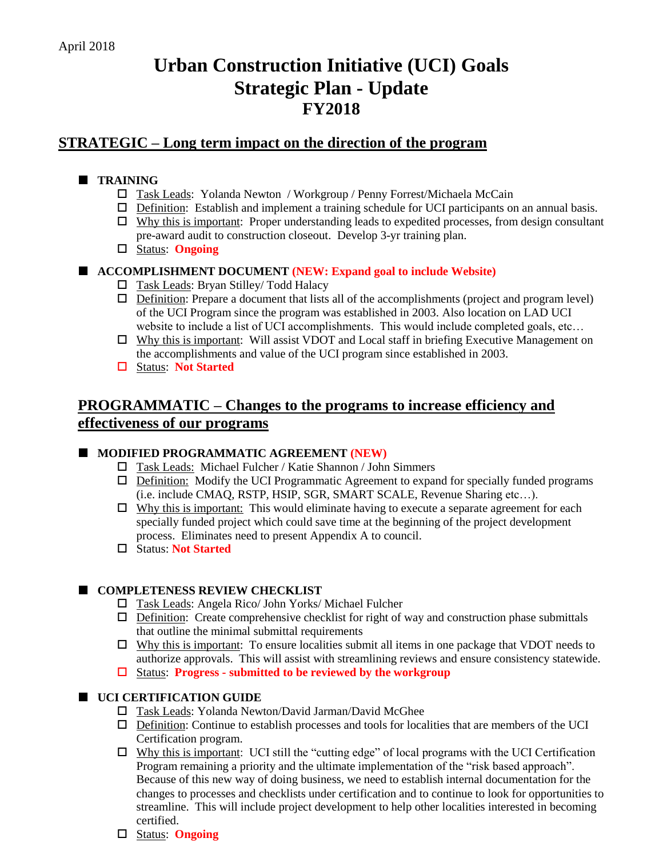# **Urban Construction Initiative (UCI) Goals Strategic Plan - Update FY2018**

### **STRATEGIC – Long term impact on the direction of the program**

### **TRAINING**

- □ Task Leads: Yolanda Newton / Workgroup / Penny Forrest/Michaela McCain
- $\Box$  Definition: Establish and implement a training schedule for UCI participants on an annual basis.
- $\Box$  Why this is important: Proper understanding leads to expedited processes, from design consultant pre-award audit to construction closeout. Develop 3-yr training plan.
- Status: **Ongoing**

### **ACCOMPLISHMENT DOCUMENT (NEW: Expand goal to include Website)**

- □ Task Leads: Bryan Stilley/ Todd Halacy
- $\Box$  Definition: Prepare a document that lists all of the accomplishments (project and program level) of the UCI Program since the program was established in 2003. Also location on LAD UCI website to include a list of UCI accomplishments. This would include completed goals, etc...
- $\Box$  Why this is important: Will assist VDOT and Local staff in briefing Executive Management on the accomplishments and value of the UCI program since established in 2003.
- Status: **Not Started**

## **PROGRAMMATIC – Changes to the programs to increase efficiency and effectiveness of our programs**

### **MODIFIED PROGRAMMATIC AGREEMENT (NEW)**

- Task Leads: Michael Fulcher / Katie Shannon / John Simmers
- $\Box$  Definition: Modify the UCI Programmatic Agreement to expand for specially funded programs (i.e. include CMAQ, RSTP, HSIP, SGR, SMART SCALE, Revenue Sharing etc…).
- $\Box$  Why this is important: This would eliminate having to execute a separate agreement for each specially funded project which could save time at the beginning of the project development process. Eliminates need to present Appendix A to council.
- Status: **Not Started**

### **COMPLETENESS REVIEW CHECKLIST**

- Task Leads: Angela Rico/ John Yorks/ Michael Fulcher
- $\Box$  Definition: Create comprehensive checklist for right of way and construction phase submittals that outline the minimal submittal requirements
- $\Box$  Why this is important: To ensure localities submit all items in one package that VDOT needs to authorize approvals. This will assist with streamlining reviews and ensure consistency statewide.
- Status: **Progress - submitted to be reviewed by the workgroup**

### **UCI CERTIFICATION GUIDE**

- Task Leads: Yolanda Newton/David Jarman/David McGhee
- $\Box$  Definition: Continue to establish processes and tools for localities that are members of the UCI Certification program.
- $\Box$  Why this is important: UCI still the "cutting edge" of local programs with the UCI Certification Program remaining a priority and the ultimate implementation of the "risk based approach". Because of this new way of doing business, we need to establish internal documentation for the changes to processes and checklists under certification and to continue to look for opportunities to streamline. This will include project development to help other localities interested in becoming certified.
- Status: **Ongoing**